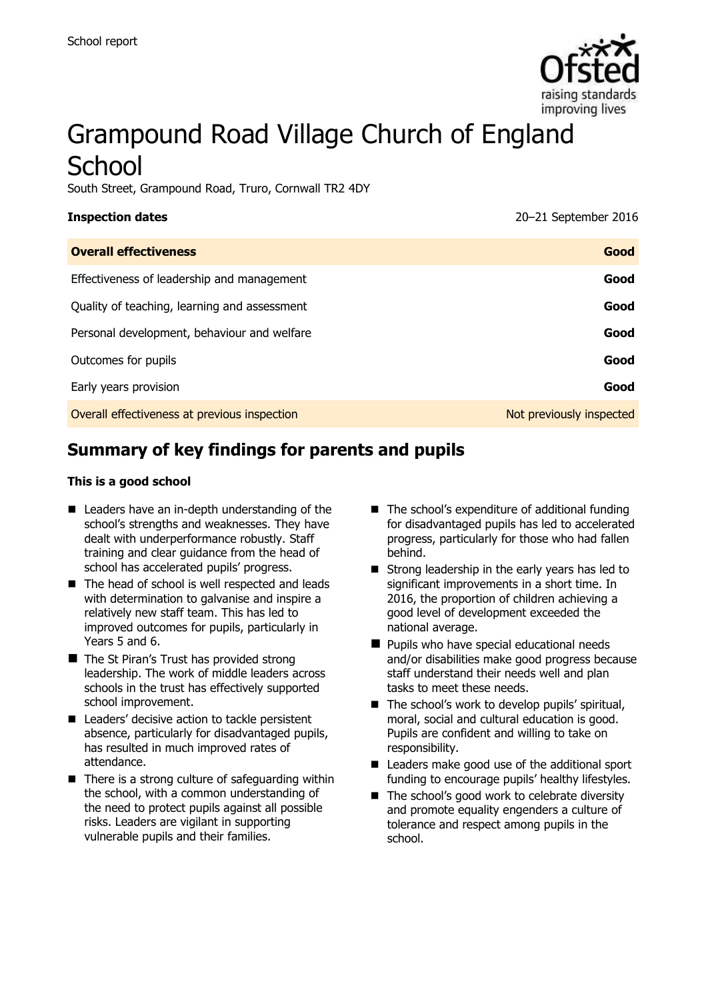

# Grampound Road Village Church of England **School**

South Street, Grampound Road, Truro, Cornwall TR2 4DY

| Inspection dates |  |
|------------------|--|

**Inspection dates** 20–21 September 2016

| <b>Overall effectiveness</b>                 | Good                     |
|----------------------------------------------|--------------------------|
| Effectiveness of leadership and management   | Good                     |
| Quality of teaching, learning and assessment | Good                     |
| Personal development, behaviour and welfare  | Good                     |
| Outcomes for pupils                          | Good                     |
| Early years provision                        | Good                     |
| Overall effectiveness at previous inspection | Not previously inspected |

# **Summary of key findings for parents and pupils**

#### **This is a good school**

- Leaders have an in-depth understanding of the school's strengths and weaknesses. They have dealt with underperformance robustly. Staff training and clear guidance from the head of school has accelerated pupils' progress.
- The head of school is well respected and leads with determination to galvanise and inspire a relatively new staff team. This has led to improved outcomes for pupils, particularly in Years 5 and 6.
- The St Piran's Trust has provided strong leadership. The work of middle leaders across schools in the trust has effectively supported school improvement.
- Leaders' decisive action to tackle persistent absence, particularly for disadvantaged pupils, has resulted in much improved rates of attendance.
- $\blacksquare$  There is a strong culture of safeguarding within the school, with a common understanding of the need to protect pupils against all possible risks. Leaders are vigilant in supporting vulnerable pupils and their families.
- $\blacksquare$  The school's expenditure of additional funding for disadvantaged pupils has led to accelerated progress, particularly for those who had fallen behind.
- Strong leadership in the early years has led to significant improvements in a short time. In 2016, the proportion of children achieving a good level of development exceeded the national average.
- **Pupils who have special educational needs** and/or disabilities make good progress because staff understand their needs well and plan tasks to meet these needs.
- The school's work to develop pupils' spiritual, moral, social and cultural education is good. Pupils are confident and willing to take on responsibility.
- Leaders make good use of the additional sport funding to encourage pupils' healthy lifestyles.
- The school's good work to celebrate diversity and promote equality engenders a culture of tolerance and respect among pupils in the school.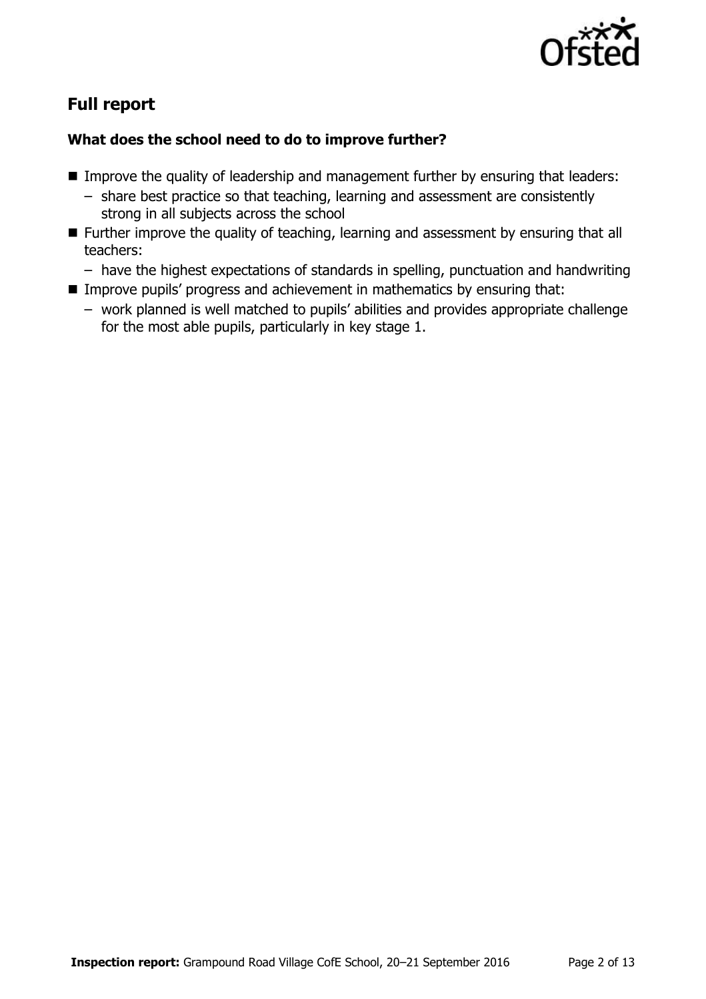

# **Full report**

### **What does the school need to do to improve further?**

- **IMPROVE THE QUALITY OF leadership and management further by ensuring that leaders:** 
	- share best practice so that teaching, learning and assessment are consistently strong in all subjects across the school
- Further improve the quality of teaching, learning and assessment by ensuring that all teachers:
	- have the highest expectations of standards in spelling, punctuation and handwriting
- Improve pupils' progress and achievement in mathematics by ensuring that:
	- work planned is well matched to pupils' abilities and provides appropriate challenge for the most able pupils, particularly in key stage 1.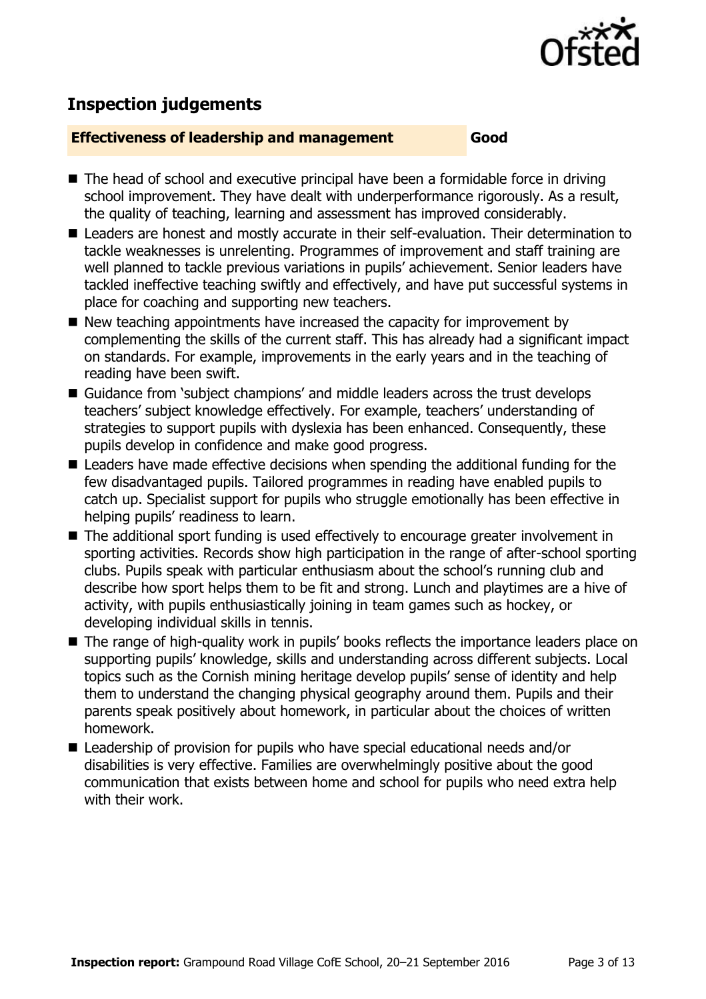

# **Inspection judgements**

#### **Effectiveness of leadership and management Good**

- The head of school and executive principal have been a formidable force in driving school improvement. They have dealt with underperformance rigorously. As a result, the quality of teaching, learning and assessment has improved considerably.
- Leaders are honest and mostly accurate in their self-evaluation. Their determination to tackle weaknesses is unrelenting. Programmes of improvement and staff training are well planned to tackle previous variations in pupils' achievement. Senior leaders have tackled ineffective teaching swiftly and effectively, and have put successful systems in place for coaching and supporting new teachers.
- $\blacksquare$  New teaching appointments have increased the capacity for improvement by complementing the skills of the current staff. This has already had a significant impact on standards. For example, improvements in the early years and in the teaching of reading have been swift.
- Guidance from 'subject champions' and middle leaders across the trust develops teachers' subject knowledge effectively. For example, teachers' understanding of strategies to support pupils with dyslexia has been enhanced. Consequently, these pupils develop in confidence and make good progress.
- Leaders have made effective decisions when spending the additional funding for the few disadvantaged pupils. Tailored programmes in reading have enabled pupils to catch up. Specialist support for pupils who struggle emotionally has been effective in helping pupils' readiness to learn.
- The additional sport funding is used effectively to encourage greater involvement in sporting activities. Records show high participation in the range of after-school sporting clubs. Pupils speak with particular enthusiasm about the school's running club and describe how sport helps them to be fit and strong. Lunch and playtimes are a hive of activity, with pupils enthusiastically joining in team games such as hockey, or developing individual skills in tennis.
- The range of high-quality work in pupils' books reflects the importance leaders place on supporting pupils' knowledge, skills and understanding across different subjects. Local topics such as the Cornish mining heritage develop pupils' sense of identity and help them to understand the changing physical geography around them. Pupils and their parents speak positively about homework, in particular about the choices of written homework.
- Leadership of provision for pupils who have special educational needs and/or disabilities is very effective. Families are overwhelmingly positive about the good communication that exists between home and school for pupils who need extra help with their work.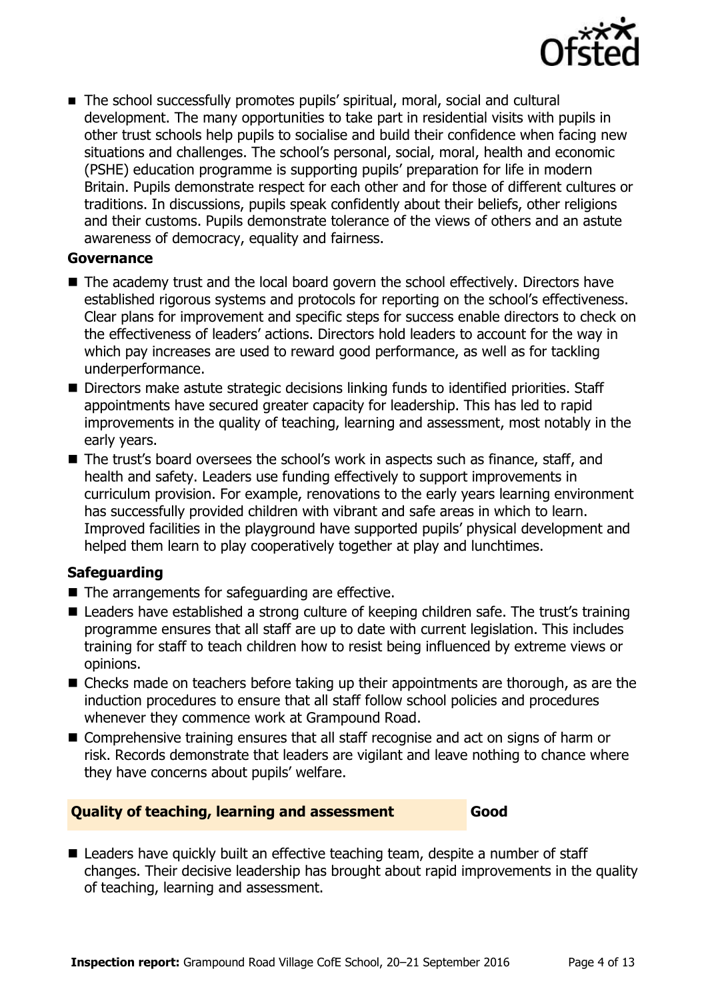

■ The school successfully promotes pupils' spiritual, moral, social and cultural development. The many opportunities to take part in residential visits with pupils in other trust schools help pupils to socialise and build their confidence when facing new situations and challenges. The school's personal, social, moral, health and economic (PSHE) education programme is supporting pupils' preparation for life in modern Britain. Pupils demonstrate respect for each other and for those of different cultures or traditions. In discussions, pupils speak confidently about their beliefs, other religions and their customs. Pupils demonstrate tolerance of the views of others and an astute awareness of democracy, equality and fairness.

#### **Governance**

- The academy trust and the local board govern the school effectively. Directors have established rigorous systems and protocols for reporting on the school's effectiveness. Clear plans for improvement and specific steps for success enable directors to check on the effectiveness of leaders' actions. Directors hold leaders to account for the way in which pay increases are used to reward good performance, as well as for tackling underperformance.
- Directors make astute strategic decisions linking funds to identified priorities. Staff appointments have secured greater capacity for leadership. This has led to rapid improvements in the quality of teaching, learning and assessment, most notably in the early years.
- The trust's board oversees the school's work in aspects such as finance, staff, and health and safety. Leaders use funding effectively to support improvements in curriculum provision. For example, renovations to the early years learning environment has successfully provided children with vibrant and safe areas in which to learn. Improved facilities in the playground have supported pupils' physical development and helped them learn to play cooperatively together at play and lunchtimes.

### **Safeguarding**

- The arrangements for safeguarding are effective.
- Leaders have established a strong culture of keeping children safe. The trust's training programme ensures that all staff are up to date with current legislation. This includes training for staff to teach children how to resist being influenced by extreme views or opinions.
- Checks made on teachers before taking up their appointments are thorough, as are the induction procedures to ensure that all staff follow school policies and procedures whenever they commence work at Grampound Road.
- Comprehensive training ensures that all staff recognise and act on signs of harm or risk. Records demonstrate that leaders are vigilant and leave nothing to chance where they have concerns about pupils' welfare.

#### **Quality of teaching, learning and assessment Good**

■ Leaders have quickly built an effective teaching team, despite a number of staff changes. Their decisive leadership has brought about rapid improvements in the quality of teaching, learning and assessment.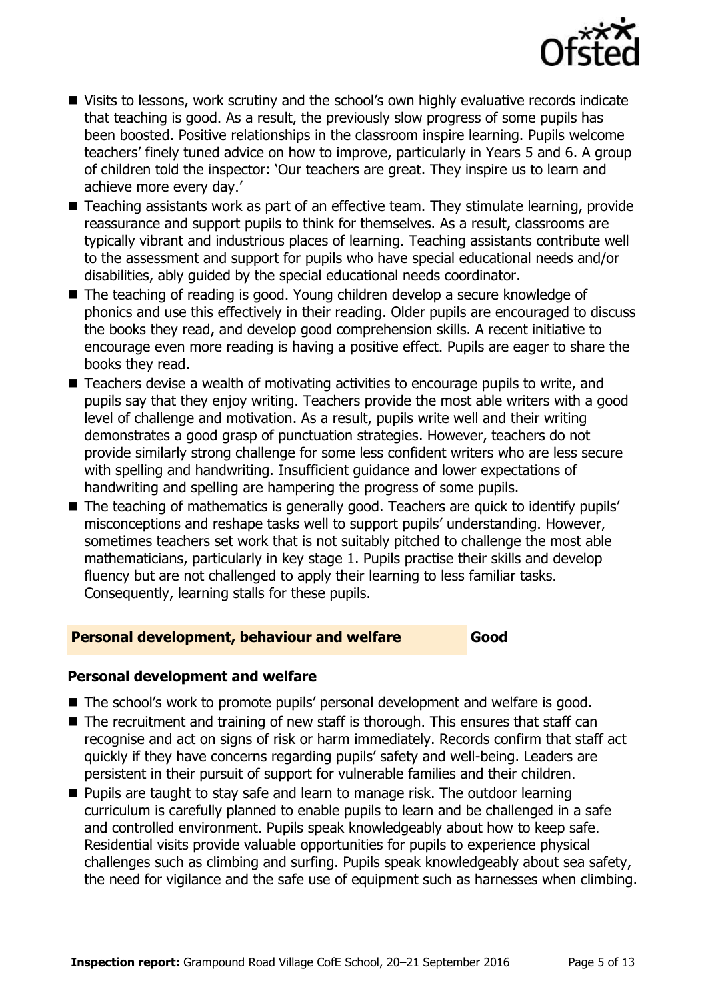

- Visits to lessons, work scrutiny and the school's own highly evaluative records indicate that teaching is good. As a result, the previously slow progress of some pupils has been boosted. Positive relationships in the classroom inspire learning. Pupils welcome teachers' finely tuned advice on how to improve, particularly in Years 5 and 6. A group of children told the inspector: 'Our teachers are great. They inspire us to learn and achieve more every day.'
- Teaching assistants work as part of an effective team. They stimulate learning, provide reassurance and support pupils to think for themselves. As a result, classrooms are typically vibrant and industrious places of learning. Teaching assistants contribute well to the assessment and support for pupils who have special educational needs and/or disabilities, ably guided by the special educational needs coordinator.
- The teaching of reading is good. Young children develop a secure knowledge of phonics and use this effectively in their reading. Older pupils are encouraged to discuss the books they read, and develop good comprehension skills. A recent initiative to encourage even more reading is having a positive effect. Pupils are eager to share the books they read.
- Teachers devise a wealth of motivating activities to encourage pupils to write, and pupils say that they enjoy writing. Teachers provide the most able writers with a good level of challenge and motivation. As a result, pupils write well and their writing demonstrates a good grasp of punctuation strategies. However, teachers do not provide similarly strong challenge for some less confident writers who are less secure with spelling and handwriting. Insufficient guidance and lower expectations of handwriting and spelling are hampering the progress of some pupils.
- The teaching of mathematics is generally good. Teachers are quick to identify pupils' misconceptions and reshape tasks well to support pupils' understanding. However, sometimes teachers set work that is not suitably pitched to challenge the most able mathematicians, particularly in key stage 1. Pupils practise their skills and develop fluency but are not challenged to apply their learning to less familiar tasks. Consequently, learning stalls for these pupils.

#### **Personal development, behaviour and welfare Good**

#### **Personal development and welfare**

- The school's work to promote pupils' personal development and welfare is good.
- $\blacksquare$  The recruitment and training of new staff is thorough. This ensures that staff can recognise and act on signs of risk or harm immediately. Records confirm that staff act quickly if they have concerns regarding pupils' safety and well-being. Leaders are persistent in their pursuit of support for vulnerable families and their children.
- **Pupils are taught to stay safe and learn to manage risk. The outdoor learning** curriculum is carefully planned to enable pupils to learn and be challenged in a safe and controlled environment. Pupils speak knowledgeably about how to keep safe. Residential visits provide valuable opportunities for pupils to experience physical challenges such as climbing and surfing. Pupils speak knowledgeably about sea safety, the need for vigilance and the safe use of equipment such as harnesses when climbing.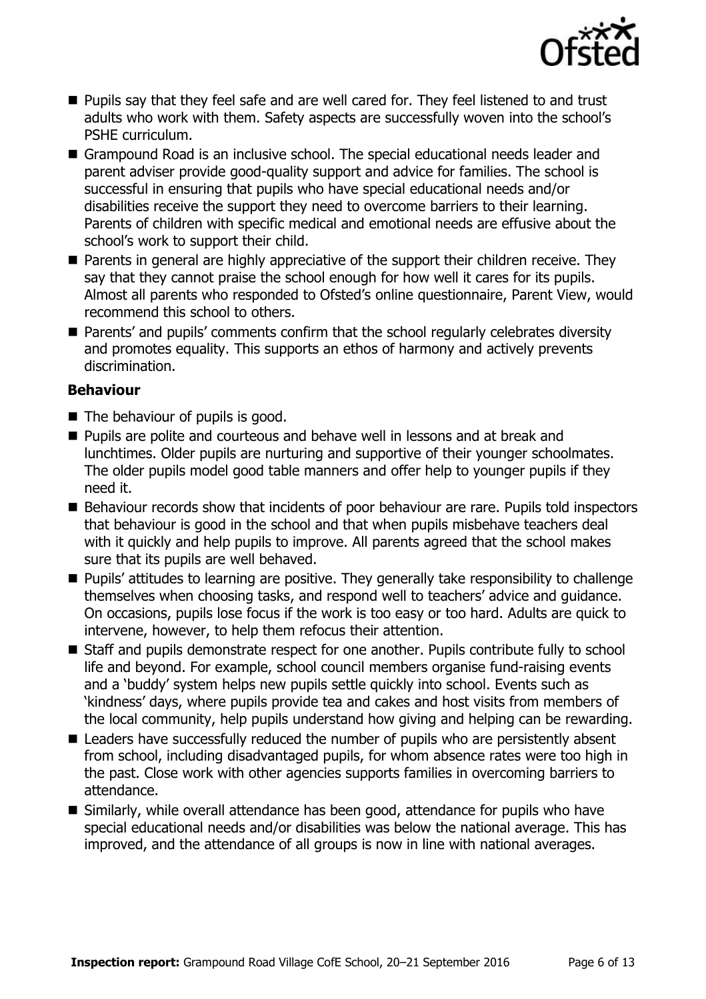

- **Pupils say that they feel safe and are well cared for. They feel listened to and trust** adults who work with them. Safety aspects are successfully woven into the school's PSHE curriculum.
- Grampound Road is an inclusive school. The special educational needs leader and parent adviser provide good-quality support and advice for families. The school is successful in ensuring that pupils who have special educational needs and/or disabilities receive the support they need to overcome barriers to their learning. Parents of children with specific medical and emotional needs are effusive about the school's work to support their child.
- **Parents in general are highly appreciative of the support their children receive. They** say that they cannot praise the school enough for how well it cares for its pupils. Almost all parents who responded to Ofsted's online questionnaire, Parent View, would recommend this school to others.
- Parents' and pupils' comments confirm that the school regularly celebrates diversity and promotes equality. This supports an ethos of harmony and actively prevents discrimination.

#### **Behaviour**

- The behaviour of pupils is good.
- **Pupils are polite and courteous and behave well in lessons and at break and** lunchtimes. Older pupils are nurturing and supportive of their younger schoolmates. The older pupils model good table manners and offer help to younger pupils if they need it.
- Behaviour records show that incidents of poor behaviour are rare. Pupils told inspectors that behaviour is good in the school and that when pupils misbehave teachers deal with it quickly and help pupils to improve. All parents agreed that the school makes sure that its pupils are well behaved.
- **Pupils' attitudes to learning are positive. They generally take responsibility to challenge** themselves when choosing tasks, and respond well to teachers' advice and guidance. On occasions, pupils lose focus if the work is too easy or too hard. Adults are quick to intervene, however, to help them refocus their attention.
- Staff and pupils demonstrate respect for one another. Pupils contribute fully to school life and beyond. For example, school council members organise fund-raising events and a 'buddy' system helps new pupils settle quickly into school. Events such as 'kindness' days, where pupils provide tea and cakes and host visits from members of the local community, help pupils understand how giving and helping can be rewarding.
- Leaders have successfully reduced the number of pupils who are persistently absent from school, including disadvantaged pupils, for whom absence rates were too high in the past. Close work with other agencies supports families in overcoming barriers to attendance.
- Similarly, while overall attendance has been good, attendance for pupils who have special educational needs and/or disabilities was below the national average. This has improved, and the attendance of all groups is now in line with national averages.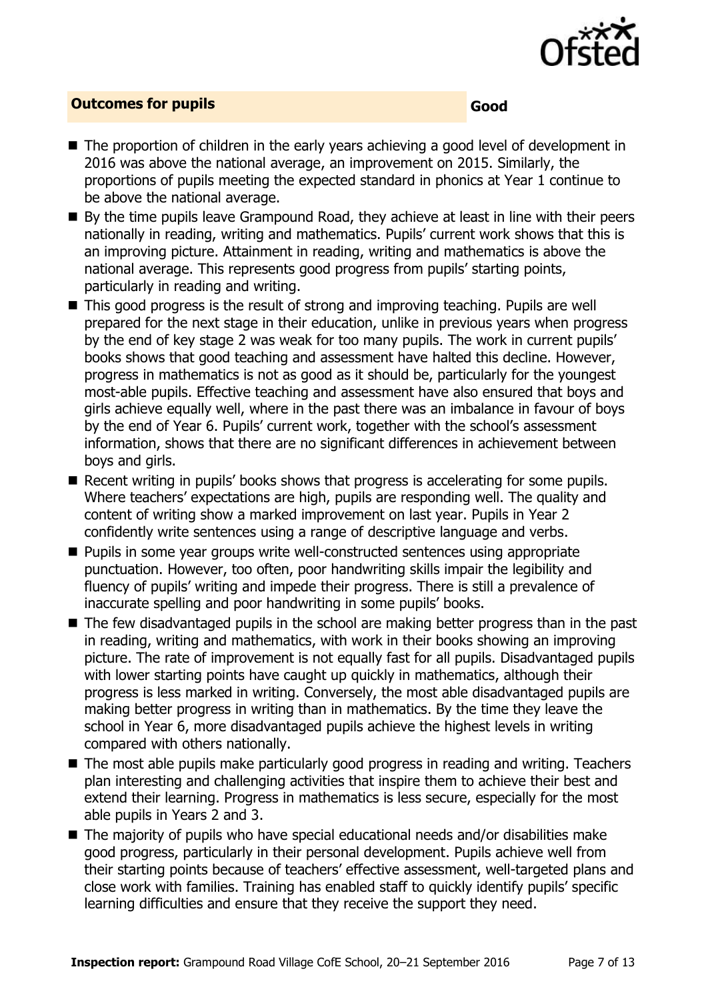

#### **Outcomes for pupils Good**

- The proportion of children in the early years achieving a good level of development in 2016 was above the national average, an improvement on 2015. Similarly, the proportions of pupils meeting the expected standard in phonics at Year 1 continue to be above the national average.
- By the time pupils leave Grampound Road, they achieve at least in line with their peers nationally in reading, writing and mathematics. Pupils' current work shows that this is an improving picture. Attainment in reading, writing and mathematics is above the national average. This represents good progress from pupils' starting points, particularly in reading and writing.
- This good progress is the result of strong and improving teaching. Pupils are well prepared for the next stage in their education, unlike in previous years when progress by the end of key stage 2 was weak for too many pupils. The work in current pupils' books shows that good teaching and assessment have halted this decline. However, progress in mathematics is not as good as it should be, particularly for the youngest most-able pupils. Effective teaching and assessment have also ensured that boys and girls achieve equally well, where in the past there was an imbalance in favour of boys by the end of Year 6. Pupils' current work, together with the school's assessment information, shows that there are no significant differences in achievement between boys and girls.
- Recent writing in pupils' books shows that progress is accelerating for some pupils. Where teachers' expectations are high, pupils are responding well. The quality and content of writing show a marked improvement on last year. Pupils in Year 2 confidently write sentences using a range of descriptive language and verbs.
- **Pupils in some year groups write well-constructed sentences using appropriate** punctuation. However, too often, poor handwriting skills impair the legibility and fluency of pupils' writing and impede their progress. There is still a prevalence of inaccurate spelling and poor handwriting in some pupils' books.
- The few disadvantaged pupils in the school are making better progress than in the past in reading, writing and mathematics, with work in their books showing an improving picture. The rate of improvement is not equally fast for all pupils. Disadvantaged pupils with lower starting points have caught up quickly in mathematics, although their progress is less marked in writing. Conversely, the most able disadvantaged pupils are making better progress in writing than in mathematics. By the time they leave the school in Year 6, more disadvantaged pupils achieve the highest levels in writing compared with others nationally.
- The most able pupils make particularly good progress in reading and writing. Teachers plan interesting and challenging activities that inspire them to achieve their best and extend their learning. Progress in mathematics is less secure, especially for the most able pupils in Years 2 and 3.
- The majority of pupils who have special educational needs and/or disabilities make good progress, particularly in their personal development. Pupils achieve well from their starting points because of teachers' effective assessment, well-targeted plans and close work with families. Training has enabled staff to quickly identify pupils' specific learning difficulties and ensure that they receive the support they need.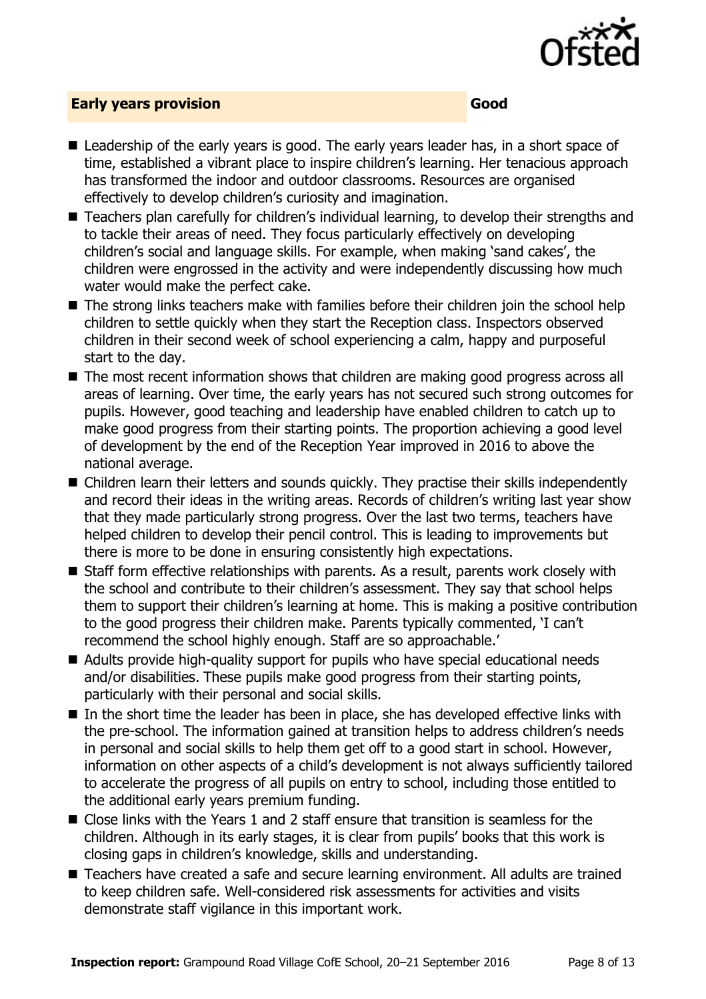

#### **Early years provision Good**

- Leadership of the early years is good. The early years leader has, in a short space of time, established a vibrant place to inspire children's learning. Her tenacious approach has transformed the indoor and outdoor classrooms. Resources are organised effectively to develop children's curiosity and imagination.
- Teachers plan carefully for children's individual learning, to develop their strengths and to tackle their areas of need. They focus particularly effectively on developing children's social and language skills. For example, when making 'sand cakes', the children were engrossed in the activity and were independently discussing how much water would make the perfect cake.
- The strong links teachers make with families before their children join the school help children to settle quickly when they start the Reception class. Inspectors observed children in their second week of school experiencing a calm, happy and purposeful start to the day.
- The most recent information shows that children are making good progress across all areas of learning. Over time, the early years has not secured such strong outcomes for pupils. However, good teaching and leadership have enabled children to catch up to make good progress from their starting points. The proportion achieving a good level of development by the end of the Reception Year improved in 2016 to above the national average.
- Children learn their letters and sounds quickly. They practise their skills independently and record their ideas in the writing areas. Records of children's writing last year show that they made particularly strong progress. Over the last two terms, teachers have helped children to develop their pencil control. This is leading to improvements but there is more to be done in ensuring consistently high expectations.
- Staff form effective relationships with parents. As a result, parents work closely with the school and contribute to their children's assessment. They say that school helps them to support their children's learning at home. This is making a positive contribution to the good progress their children make. Parents typically commented, 'I can't recommend the school highly enough. Staff are so approachable.'
- Adults provide high-quality support for pupils who have special educational needs and/or disabilities. These pupils make good progress from their starting points, particularly with their personal and social skills.
- In the short time the leader has been in place, she has developed effective links with the pre-school. The information gained at transition helps to address children's needs in personal and social skills to help them get off to a good start in school. However, information on other aspects of a child's development is not always sufficiently tailored to accelerate the progress of all pupils on entry to school, including those entitled to the additional early years premium funding.
- Close links with the Years 1 and 2 staff ensure that transition is seamless for the children. Although in its early stages, it is clear from pupils' books that this work is closing gaps in children's knowledge, skills and understanding.
- Teachers have created a safe and secure learning environment. All adults are trained to keep children safe. Well-considered risk assessments for activities and visits demonstrate staff vigilance in this important work.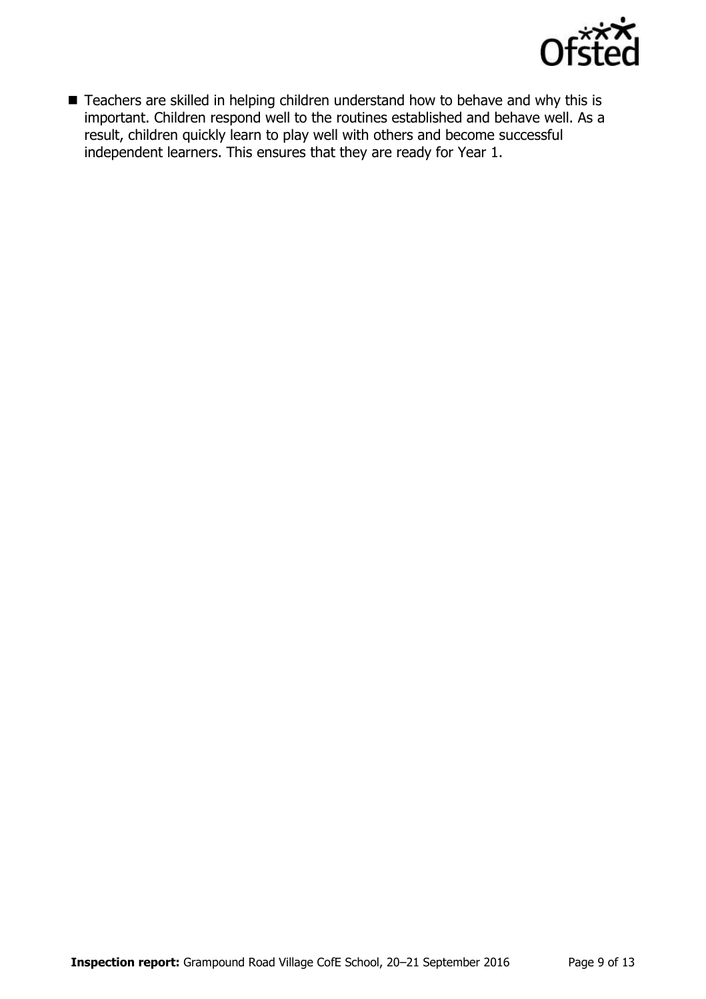

■ Teachers are skilled in helping children understand how to behave and why this is important. Children respond well to the routines established and behave well. As a result, children quickly learn to play well with others and become successful independent learners. This ensures that they are ready for Year 1.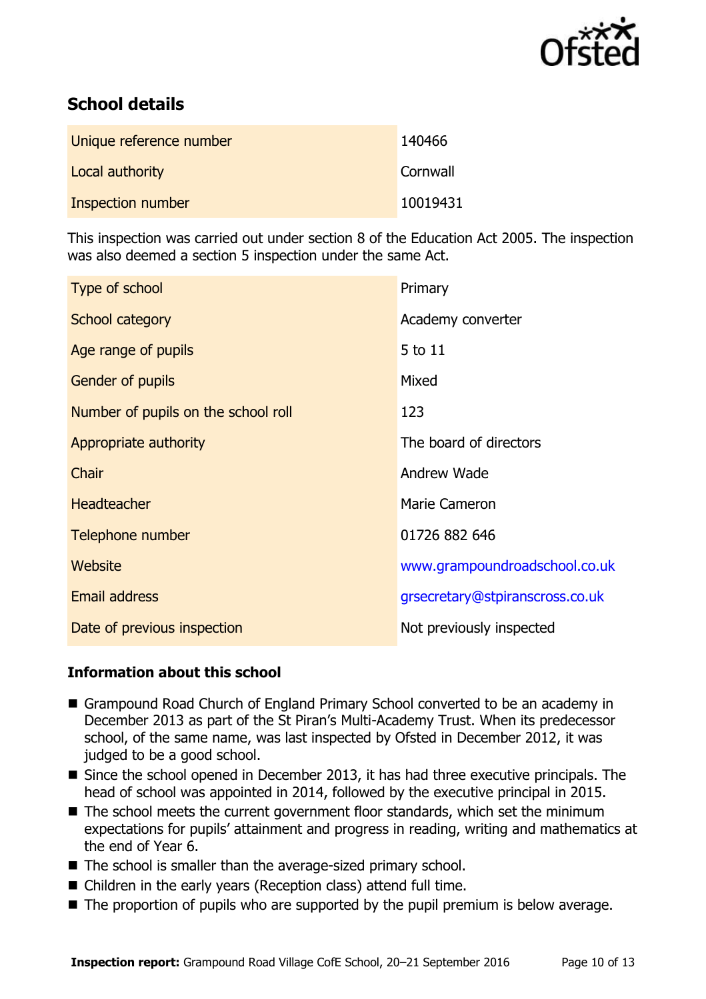

# **School details**

| Unique reference number  | 140466   |
|--------------------------|----------|
| Local authority          | Cornwall |
| <b>Inspection number</b> | 10019431 |

This inspection was carried out under section 8 of the Education Act 2005. The inspection was also deemed a section 5 inspection under the same Act.

| Type of school                      | Primary                         |
|-------------------------------------|---------------------------------|
| School category                     | Academy converter               |
| Age range of pupils                 | 5 to 11                         |
| Gender of pupils                    | Mixed                           |
| Number of pupils on the school roll | 123                             |
| Appropriate authority               | The board of directors          |
| Chair                               | Andrew Wade                     |
| <b>Headteacher</b>                  | <b>Marie Cameron</b>            |
| Telephone number                    | 01726 882 646                   |
| Website                             | www.grampoundroadschool.co.uk   |
| <b>Email address</b>                | grsecretary@stpiranscross.co.uk |
| Date of previous inspection         | Not previously inspected        |

#### **Information about this school**

- Grampound Road Church of England Primary School converted to be an academy in December 2013 as part of the St Piran's Multi-Academy Trust. When its predecessor school, of the same name, was last inspected by Ofsted in December 2012, it was judged to be a good school.
- Since the school opened in December 2013, it has had three executive principals. The head of school was appointed in 2014, followed by the executive principal in 2015.
- The school meets the current government floor standards, which set the minimum expectations for pupils' attainment and progress in reading, writing and mathematics at the end of Year 6.
- The school is smaller than the average-sized primary school.
- Children in the early years (Reception class) attend full time.
- The proportion of pupils who are supported by the pupil premium is below average.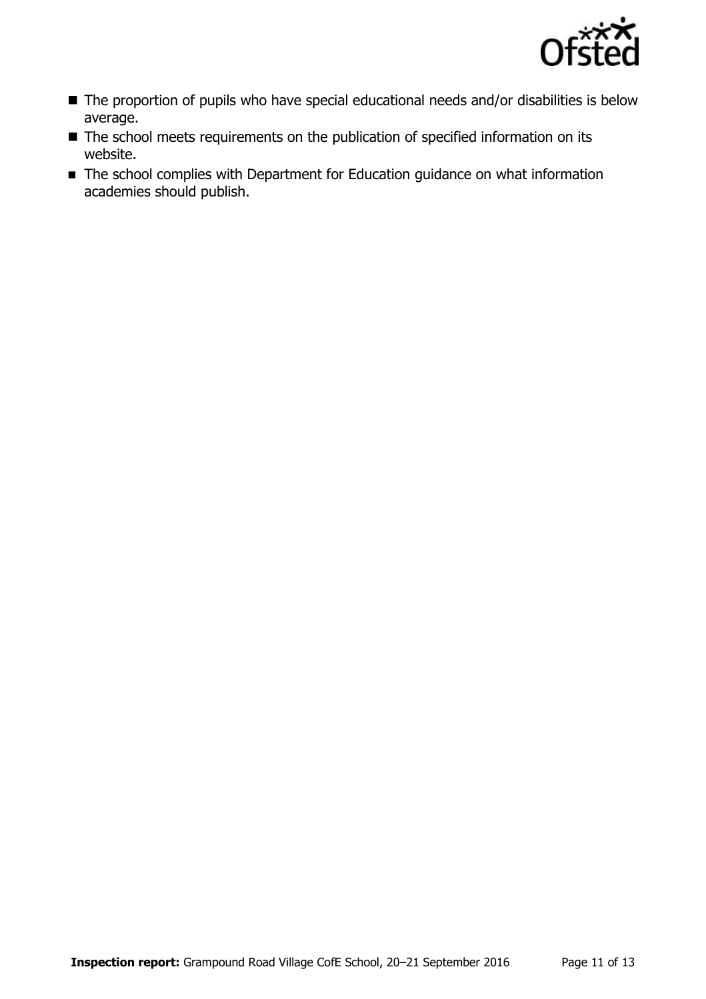

- The proportion of pupils who have special educational needs and/or disabilities is below average.
- The school meets requirements on the publication of specified information on its website.
- The school complies with Department for Education guidance on what information academies should publish.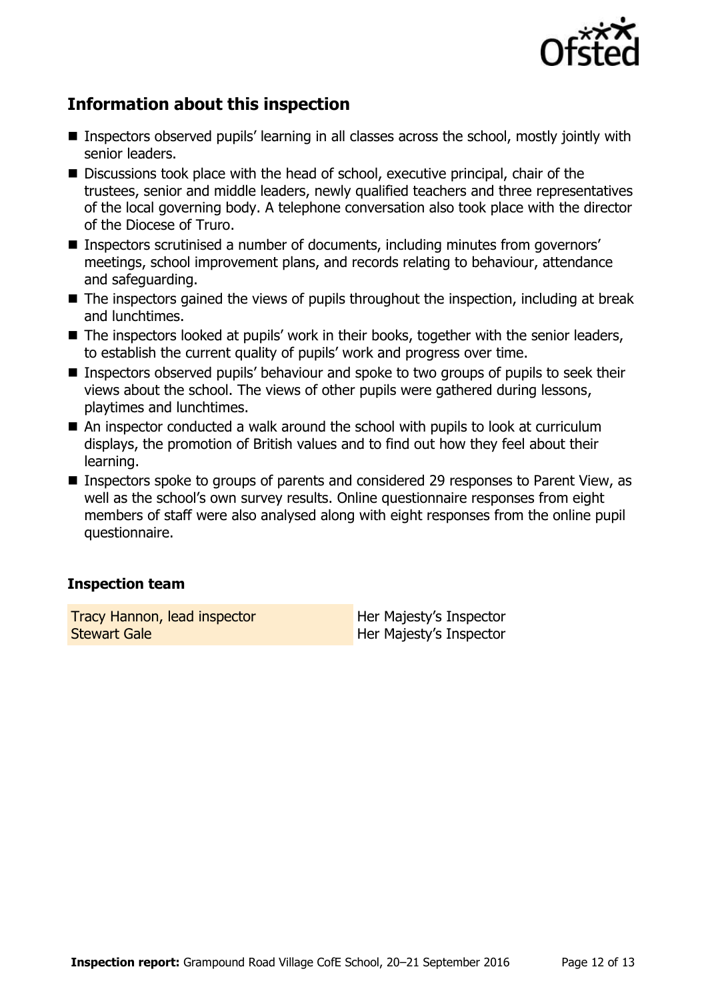

# **Information about this inspection**

- Inspectors observed pupils' learning in all classes across the school, mostly jointly with senior leaders.
- Discussions took place with the head of school, executive principal, chair of the trustees, senior and middle leaders, newly qualified teachers and three representatives of the local governing body. A telephone conversation also took place with the director of the Diocese of Truro.
- Inspectors scrutinised a number of documents, including minutes from governors' meetings, school improvement plans, and records relating to behaviour, attendance and safeguarding.
- The inspectors gained the views of pupils throughout the inspection, including at break and lunchtimes.
- The inspectors looked at pupils' work in their books, together with the senior leaders, to establish the current quality of pupils' work and progress over time.
- Inspectors observed pupils' behaviour and spoke to two groups of pupils to seek their views about the school. The views of other pupils were gathered during lessons, playtimes and lunchtimes.
- An inspector conducted a walk around the school with pupils to look at curriculum displays, the promotion of British values and to find out how they feel about their learning.
- Inspectors spoke to groups of parents and considered 29 responses to Parent View, as well as the school's own survey results. Online questionnaire responses from eight members of staff were also analysed along with eight responses from the online pupil questionnaire.

#### **Inspection team**

Tracy Hannon, lead inspector Stewart Gale

Her Majesty's Inspector Her Majesty's Inspector